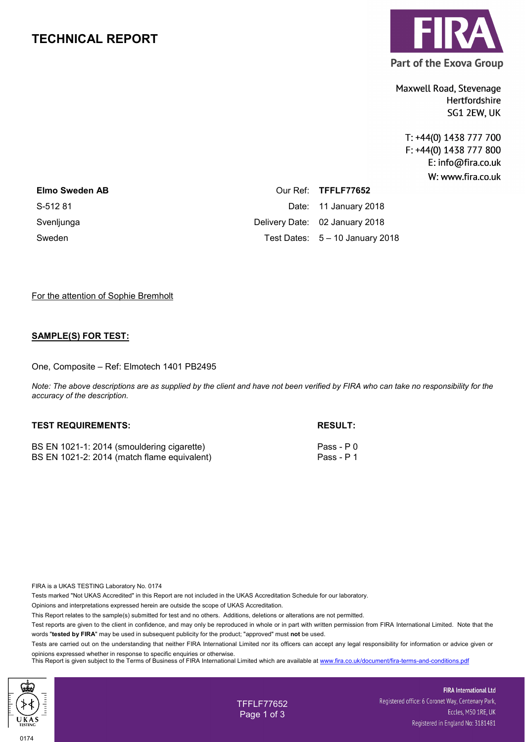# **TECHNICAL REPORT**



**Part of the Exova Group** 

Maxwell Road, Stevenage Hertfordshire SG1 2EW, UK

T: +44(0) 1438 777 700 F: +44(0) 1438 777 800 E: info@fira.co.uk W: www.fira.co.uk

| <b>Elmo Sweden AB</b> | Our Ref: TFFLF77652               |
|-----------------------|-----------------------------------|
| S-512 81              | Date: 11 January 2018             |
| Svenljunga            | Delivery Date: 02 January 2018    |
| Sweden                | Test Dates: $5 - 10$ January 2018 |

#### For the attention of Sophie Bremholt

### **SAMPLE(S) FOR TEST:**

One, Composite – Ref: Elmotech 1401 PB2495

*Note: The above descriptions are as supplied by the client and have not been verified by FIRA who can take no responsibility for the accuracy of the description.* 

#### **TEST REQUIREMENTS: RESULT:**

BS EN 1021-1: 2014 (smouldering cigarette) Pass - P 0 BS EN 1021-2: 2014 (match flame equivalent) Pass - P 1

FIRA is a UKAS TESTING Laboratory No. 0174

Tests marked "Not UKAS Accredited" in this Report are not included in the UKAS Accreditation Schedule for our laboratory.

Opinions and interpretations expressed herein are outside the scope of UKAS Accreditation.

This Report relates to the sample(s) submitted for test and no others. Additions, deletions or alterations are not permitted.

Test reports are given to the client in confidence, and may only be reproduced in whole or in part with written permission from FIRA International Limited. Note that the words "**tested by FIRA**" may be used in subsequent publicity for the product; "approved" must **not** be used.

Tests are carried out on the understanding that neither FIRA International Limited nor its officers can accept any legal responsibility for information or advice given or opinions expressed whether in response to specific enquiries or otherwise.

This Report is given subject to the Terms of Business of FIRA International Limited which are available at [www.fira.co.uk/document/fira-terms-and-conditions.pdf](http://www.fira.co.uk/document/fira-terms-and-conditions.pdf)



TFFLF77652 Page 1 of 3

**FIRA International Ltd** Registered office: 6 Coronet Way, Centenary Park, Eccles, M50 1RE, UK Registered in England No: 3181481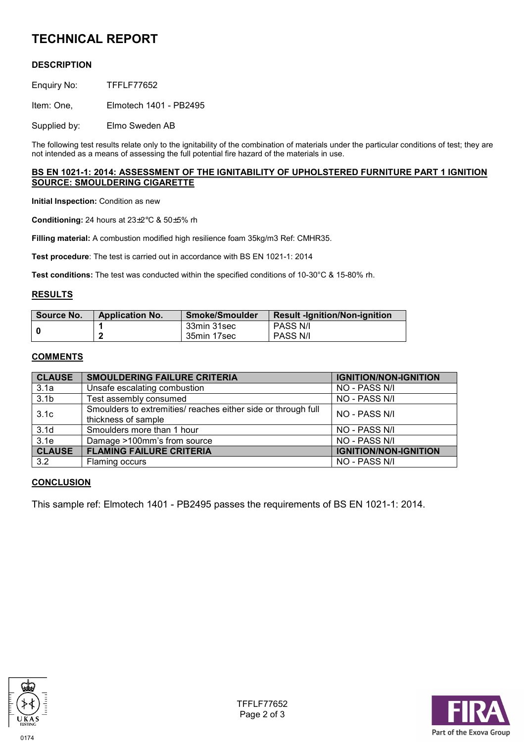# **TECHNICAL REPORT**

# **DESCRIPTION**

Enquiry No: TFFLF77652

Item: One, Elmotech 1401 - PB2495

Supplied by: Elmo Sweden AB

The following test results relate only to the ignitability of the combination of materials under the particular conditions of test; they are not intended as a means of assessing the full potential fire hazard of the materials in use.

#### **BS EN 1021-1: 2014: ASSESSMENT OF THE IGNITABILITY OF UPHOLSTERED FURNITURE PART 1 IGNITION SOURCE: SMOULDERING CIGARETTE**

**Initial Inspection:** Condition as new

**Conditioning:** 24 hours at 23±2°C & 50±5% rh

**Filling material:** A combustion modified high resilience foam 35kg/m3 Ref: CMHR35.

**Test procedure**: The test is carried out in accordance with BS EN 1021-1: 2014

**Test conditions:** The test was conducted within the specified conditions of 10-30°C & 15-80% rh.

#### **RESULTS**

| Source No. | <b>Application No.</b> | <b>Smoke/Smoulder</b> | <b>Result -Ignition/Non-ignition</b> |
|------------|------------------------|-----------------------|--------------------------------------|
|            |                        | 33min 31sec           | <b>PASS N/I</b>                      |
|            |                        | 35min 17sec           | PASS N/I                             |

#### **COMMENTS**

| <b>CLAUSE</b>    | <b>SMOULDERING FAILURE CRITERIA</b>                                                  | <b>IGNITION/NON-IGNITION</b> |
|------------------|--------------------------------------------------------------------------------------|------------------------------|
| 3.1a             | Unsafe escalating combustion                                                         | NO - PASS N/I                |
| 3.1 <sub>b</sub> | Test assembly consumed                                                               | NO - PASS N/I                |
| 3.1 <sub>c</sub> | Smoulders to extremities/ reaches either side or through full<br>thickness of sample | NO - PASS N/I                |
| 3.1 <sub>d</sub> | Smoulders more than 1 hour                                                           | NO - PASS N/I                |
| 3.1e             | Damage >100mm's from source                                                          | NO - PASS N/I                |
| <b>CLAUSE</b>    | <b>FLAMING FAILURE CRITERIA</b>                                                      | <b>IGNITION/NON-IGNITION</b> |
| 3.2              | Flaming occurs                                                                       | NO - PASS N/I                |

### **CONCLUSION**

This sample ref: Elmotech 1401 - PB2495 passes the requirements of BS EN 1021-1: 2014.